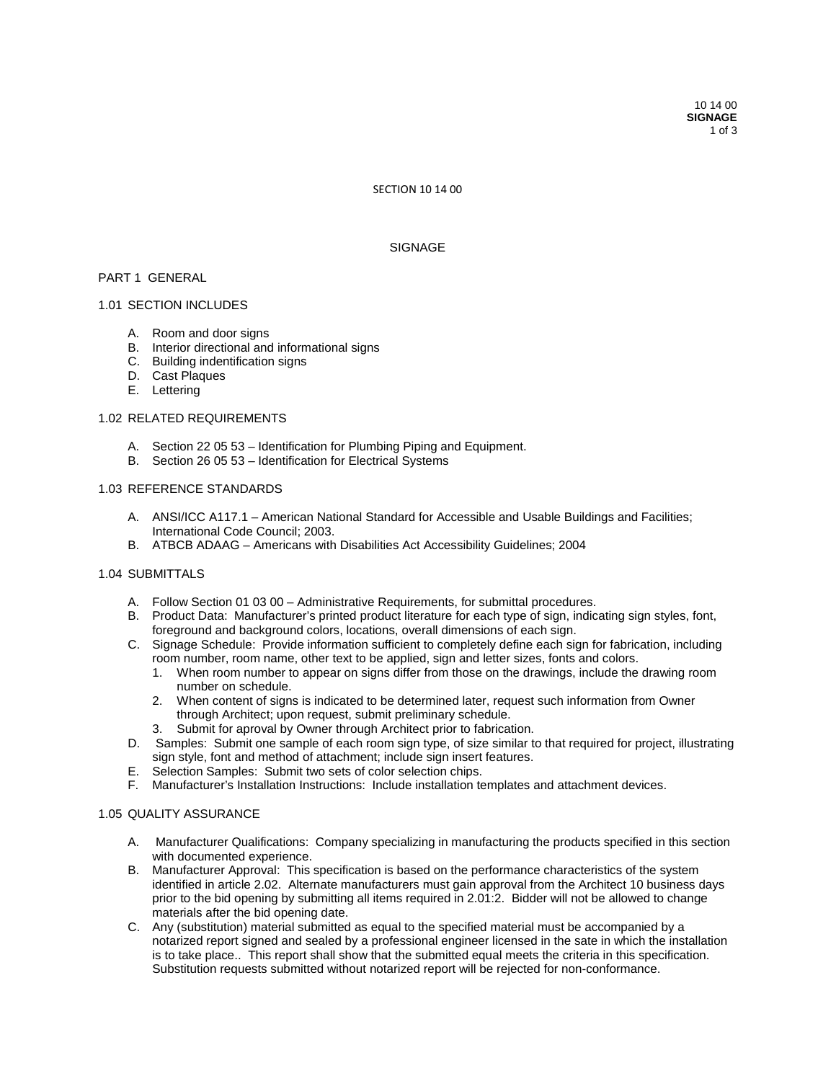SECTION 10 14 00

## SIGNAGE

## PART 1 GENERAL

### 1.01 SECTION INCLUDES

- A. Room and door signs
- B. Interior directional and informational signs
- C. Building indentification signs
- D. Cast Plaques
- E. Lettering

### 1.02 RELATED REQUIREMENTS

- A. Section 22 05 53 Identification for Plumbing Piping and Equipment.
- B. Section 26 05 53 Identification for Electrical Systems

## 1.03 REFERENCE STANDARDS

- A. ANSI/ICC A117.1 American National Standard for Accessible and Usable Buildings and Facilities; International Code Council; 2003.
- B. ATBCB ADAAG Americans with Disabilities Act Accessibility Guidelines; 2004

# 1.04 SUBMITTALS

- A. Follow Section 01 03 00 Administrative Requirements, for submittal procedures.
- B. Product Data: Manufacturer's printed product literature for each type of sign, indicating sign styles, font, foreground and background colors, locations, overall dimensions of each sign.
- C. Signage Schedule: Provide information sufficient to completely define each sign for fabrication, including room number, room name, other text to be applied, sign and letter sizes, fonts and colors.
	- 1. When room number to appear on signs differ from those on the drawings, include the drawing room number on schedule.
	- 2. When content of signs is indicated to be determined later, request such information from Owner through Architect; upon request, submit preliminary schedule.
	- 3. Submit for aproval by Owner through Architect prior to fabrication.
- D. Samples: Submit one sample of each room sign type, of size similar to that required for project, illustrating sign style, font and method of attachment; include sign insert features.
- E. Selection Samples: Submit two sets of color selection chips.
- F. Manufacturer's Installation Instructions: Include installation templates and attachment devices.

### 1.05 QUALITY ASSURANCE

- A. Manufacturer Qualifications: Company specializing in manufacturing the products specified in this section with documented experience.
- B. Manufacturer Approval: This specification is based on the performance characteristics of the system identified in article 2.02. Alternate manufacturers must gain approval from the Architect 10 business days prior to the bid opening by submitting all items required in 2.01:2. Bidder will not be allowed to change materials after the bid opening date.
- C. Any (substitution) material submitted as equal to the specified material must be accompanied by a notarized report signed and sealed by a professional engineer licensed in the sate in which the installation is to take place.. This report shall show that the submitted equal meets the criteria in this specification. Substitution requests submitted without notarized report will be rejected for non-conformance.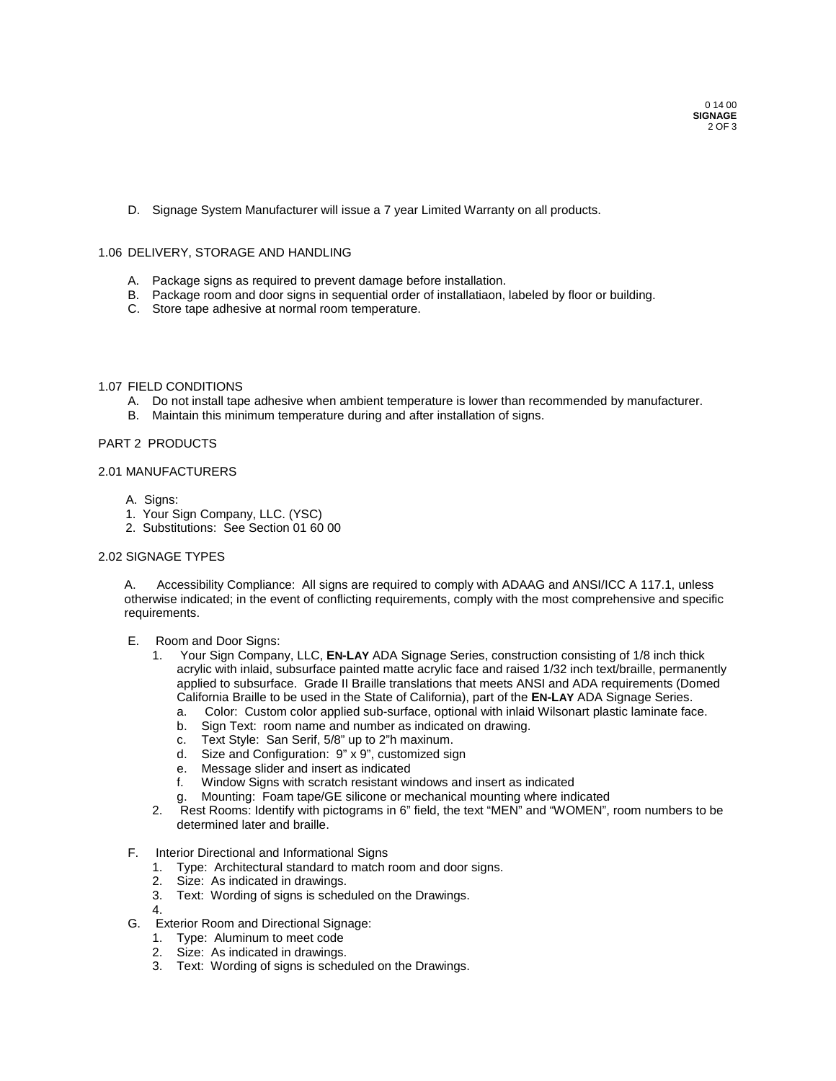D. Signage System Manufacturer will issue a 7 year Limited Warranty on all products.

### 1.06 DELIVERY, STORAGE AND HANDLING

- A. Package signs as required to prevent damage before installation.
- B. Package room and door signs in sequential order of installatiaon, labeled by floor or building.
- C. Store tape adhesive at normal room temperature.

## 1.07 FIELD CONDITIONS

- A. Do not install tape adhesive when ambient temperature is lower than recommended by manufacturer.
- B. Maintain this minimum temperature during and after installation of signs.

# PART 2 PRODUCTS

### 2.01 MANUFACTURERS

- A. Signs:
- 1. Your Sign Company, LLC. (YSC)
- 2. Substitutions: See Section 01 60 00

## 2.02 SIGNAGE TYPES

A. Accessibility Compliance: All signs are required to comply with ADAAG and ANSI/ICC A 117.1, unless otherwise indicated; in the event of conflicting requirements, comply with the most comprehensive and specific requirements.

- E. Room and Door Signs:
	- 1. Your Sign Company, LLC, **EN-LAY** ADA Signage Series, construction consisting of 1/8 inch thick acrylic with inlaid, subsurface painted matte acrylic face and raised 1/32 inch text/braille, permanently applied to subsurface. Grade II Braille translations that meets ANSI and ADA requirements (Domed California Braille to be used in the State of California), part of the **EN-LAY** ADA Signage Series.
		- a. Color: Custom color applied sub-surface, optional with inlaid Wilsonart plastic laminate face.
		- b. Sign Text: room name and number as indicated on drawing.<br>c. Text Style: San Serif, 5/8" up to 2"h maxinum.
		- Text Style: San Serif, 5/8" up to 2"h maxinum.
		- d. Size and Configuration: 9" x 9", customized sign
		- e. Message slider and insert as indicated
		- f. Window Signs with scratch resistant windows and insert as indicated
		- Mounting: Foam tape/GE silicone or mechanical mounting where indicated
	- 2. Rest Rooms: Identify with pictograms in 6" field, the text "MEN" and "WOMEN", room numbers to be determined later and braille.
- F. Interior Directional and Informational Signs
	- 1. Type: Architectural standard to match room and door signs.
	- 2. Size: As indicated in drawings.
	- 3. Text: Wording of signs is scheduled on the Drawings.
	- 4.
- G. Exterior Room and Directional Signage:
	- 1. Type: Aluminum to meet code
	- 2. Size: As indicated in drawings.
	- 3. Text: Wording of signs is scheduled on the Drawings.